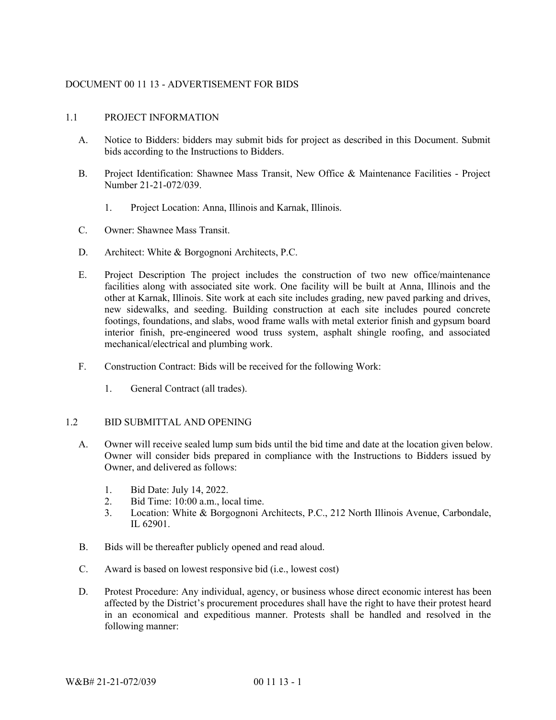# DOCUMENT 00 11 13 - ADVERTISEMENT FOR BIDS

### 1.1 PROJECT INFORMATION

- A. Notice to Bidders: bidders may submit bids for project as described in this Document. Submit bids according to the Instructions to Bidders.
- B. Project Identification: Shawnee Mass Transit, New Office & Maintenance Facilities Project Number 21-21-072/039.
	- 1. Project Location: Anna, Illinois and Karnak, Illinois.
- C. Owner: Shawnee Mass Transit.
- D. Architect: White & Borgognoni Architects, P.C.
- E. Project Description The project includes the construction of two new office/maintenance facilities along with associated site work. One facility will be built at Anna, Illinois and the other at Karnak, Illinois. Site work at each site includes grading, new paved parking and drives, new sidewalks, and seeding. Building construction at each site includes poured concrete footings, foundations, and slabs, wood frame walls with metal exterior finish and gypsum board interior finish, pre-engineered wood truss system, asphalt shingle roofing, and associated mechanical/electrical and plumbing work.
- F. Construction Contract: Bids will be received for the following Work:
	- 1. General Contract (all trades).

# 1.2 BID SUBMITTAL AND OPENING

- A. Owner will receive sealed lump sum bids until the bid time and date at the location given below. Owner will consider bids prepared in compliance with the Instructions to Bidders issued by Owner, and delivered as follows:
	- 1. Bid Date: July 14, 2022.
	- 2. Bid Time: 10:00 a.m., local time.
	- 3. Location: White & Borgognoni Architects, P.C., 212 North Illinois Avenue, Carbondale, IL 62901.
- B. Bids will be thereafter publicly opened and read aloud.
- C. Award is based on lowest responsive bid (i.e., lowest cost)
- D. Protest Procedure: Any individual, agency, or business whose direct economic interest has been affected by the District's procurement procedures shall have the right to have their protest heard in an economical and expeditious manner. Protests shall be handled and resolved in the following manner: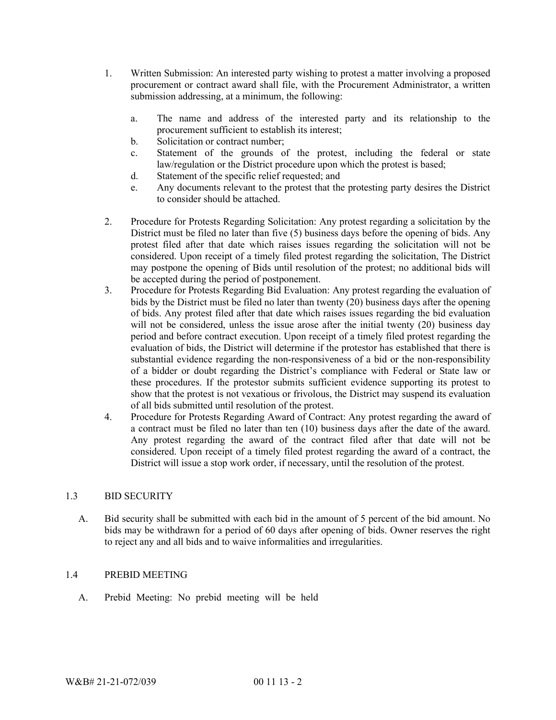- 1. Written Submission: An interested party wishing to protest a matter involving a proposed procurement or contract award shall file, with the Procurement Administrator, a written submission addressing, at a minimum, the following:
	- a. The name and address of the interested party and its relationship to the procurement sufficient to establish its interest;
	- b. Solicitation or contract number;
	- c. Statement of the grounds of the protest, including the federal or state law/regulation or the District procedure upon which the protest is based;
	- d. Statement of the specific relief requested; and
	- e. Any documents relevant to the protest that the protesting party desires the District to consider should be attached.
- 2. Procedure for Protests Regarding Solicitation: Any protest regarding a solicitation by the District must be filed no later than five (5) business days before the opening of bids. Any protest filed after that date which raises issues regarding the solicitation will not be considered. Upon receipt of a timely filed protest regarding the solicitation, The District may postpone the opening of Bids until resolution of the protest; no additional bids will be accepted during the period of postponement.
- 3. Procedure for Protests Regarding Bid Evaluation: Any protest regarding the evaluation of bids by the District must be filed no later than twenty (20) business days after the opening of bids. Any protest filed after that date which raises issues regarding the bid evaluation will not be considered, unless the issue arose after the initial twenty (20) business day period and before contract execution. Upon receipt of a timely filed protest regarding the evaluation of bids, the District will determine if the protestor has established that there is substantial evidence regarding the non-responsiveness of a bid or the non-responsibility of a bidder or doubt regarding the District's compliance with Federal or State law or these procedures. If the protestor submits sufficient evidence supporting its protest to show that the protest is not vexatious or frivolous, the District may suspend its evaluation of all bids submitted until resolution of the protest.
- 4. Procedure for Protests Regarding Award of Contract: Any protest regarding the award of a contract must be filed no later than ten (10) business days after the date of the award. Any protest regarding the award of the contract filed after that date will not be considered. Upon receipt of a timely filed protest regarding the award of a contract, the District will issue a stop work order, if necessary, until the resolution of the protest.

# 1.3 BID SECURITY

A. Bid security shall be submitted with each bid in the amount of 5 percent of the bid amount. No bids may be withdrawn for a period of 60 days after opening of bids. Owner reserves the right to reject any and all bids and to waive informalities and irregularities.

# 1.4 PREBID MEETING

A. Prebid Meeting: No prebid meeting will be held